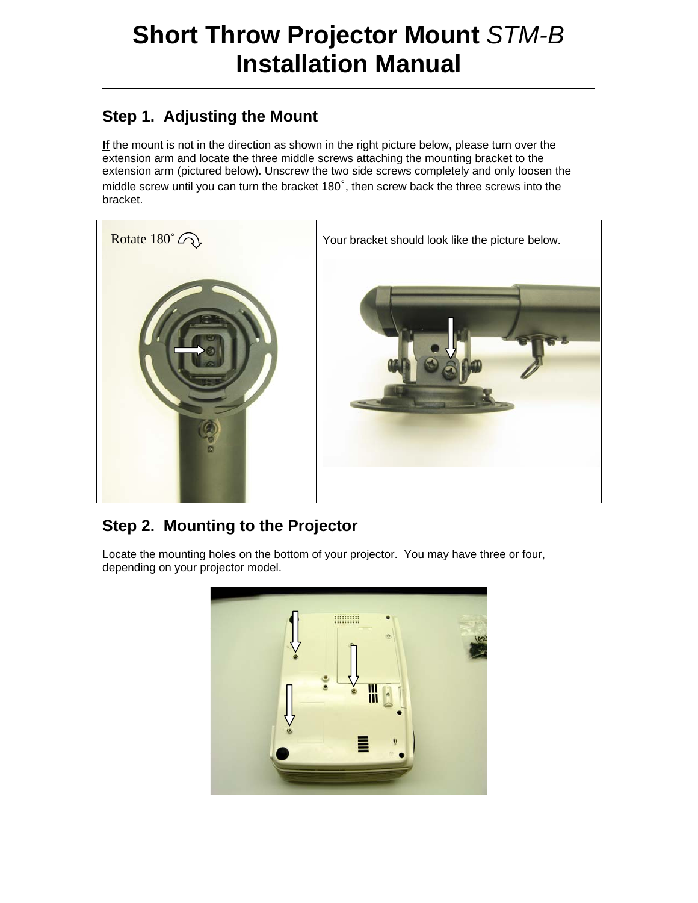# **Short Throw Projector Mount** *STM-B* **Installation Manual**

#### **Step 1. Adjusting the Mount**

**If** the mount is not in the direction as shown in the right picture below, please turn over the extension arm and locate the three middle screws attaching the mounting bracket to the extension arm (pictured below). Unscrew the two side screws completely and only loosen the middle screw until you can turn the bracket 180˚, then screw back the three screws into the bracket.



#### **Step 2. Mounting to the Projector**

Locate the mounting holes on the bottom of your projector. You may have three or four, depending on your projector model.

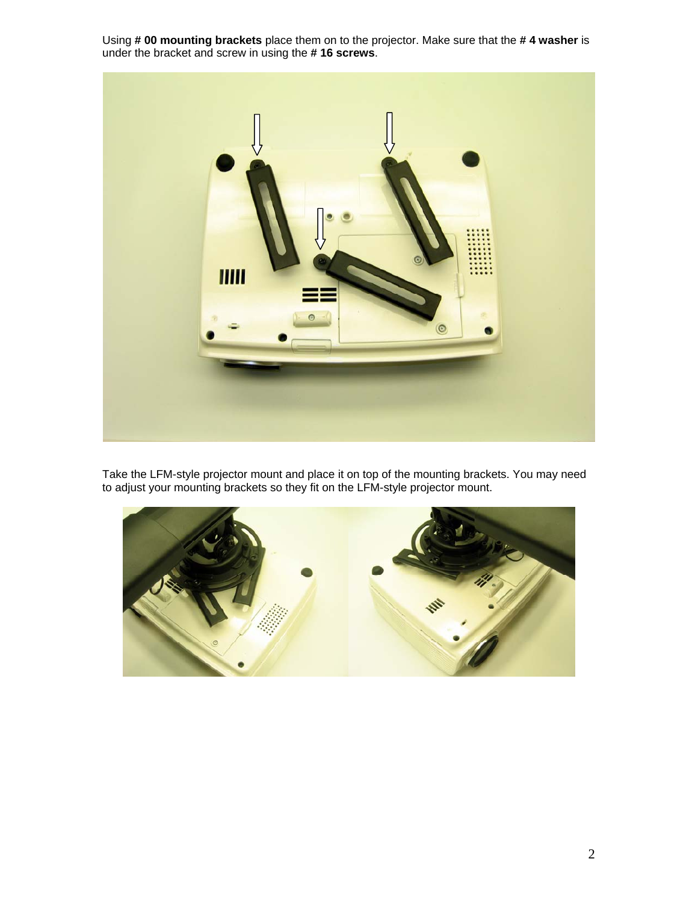Using **# 00 mounting brackets** place them on to the projector. Make sure that the **# 4 washer** is under the bracket and screw in using the **# 16 screws**.



Take the LFM-style projector mount and place it on top of the mounting brackets. You may need to adjust your mounting brackets so they fit on the LFM-style projector mount.

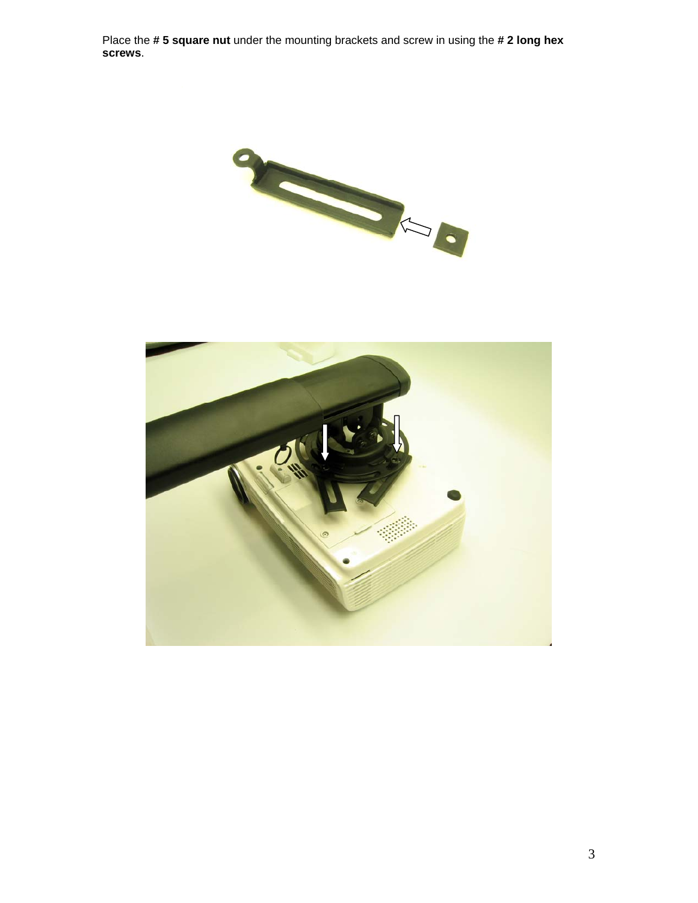Place the **# 5 square nut** under the mounting brackets and screw in using the **# 2 long hex screws**.



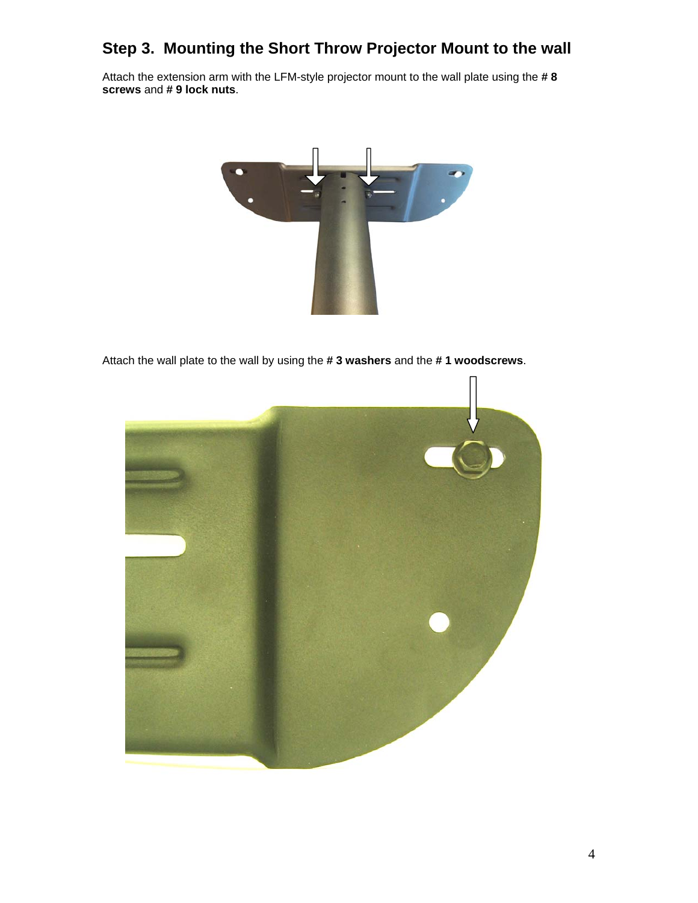#### **Step 3. Mounting the Short Throw Projector Mount to the wall**

Attach the extension arm with the LFM-style projector mount to the wall plate using the **# 8 screws** and **# 9 lock nuts**.



Attach the wall plate to the wall by using the **# 3 washers** and the **# 1 woodscrews**.

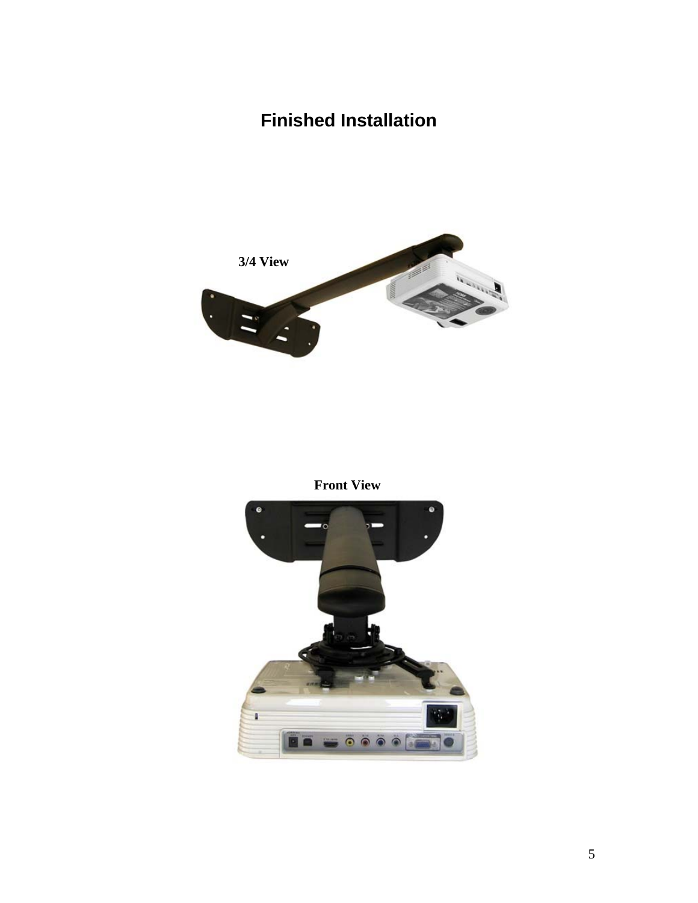## **Finished Installation**



**Front View**

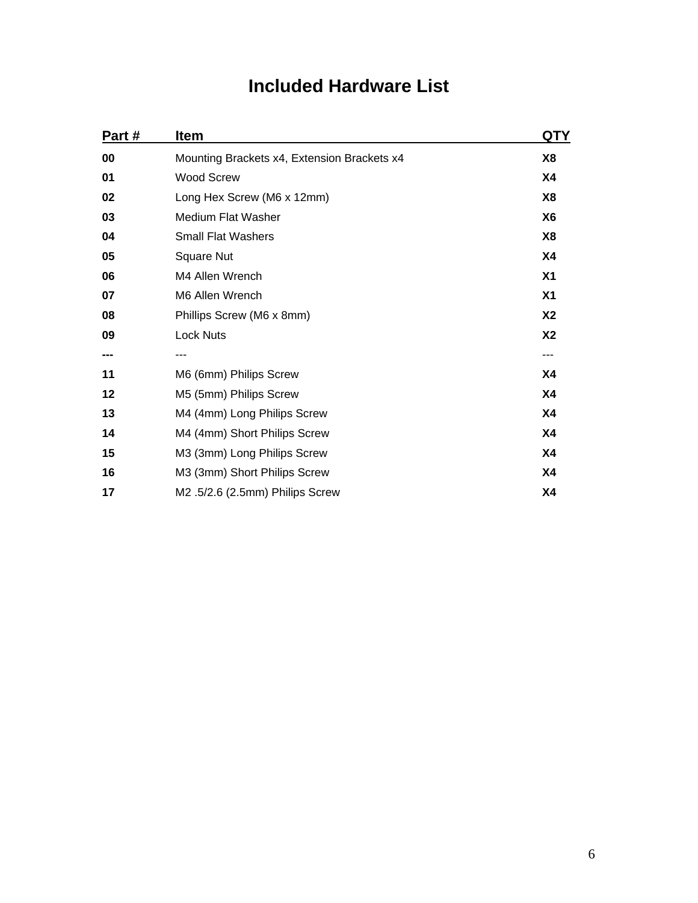### **Included Hardware List**

| Part # | <b>Item</b>                                 | QTY            |
|--------|---------------------------------------------|----------------|
| 00     | Mounting Brackets x4, Extension Brackets x4 | X8             |
| 01     | <b>Wood Screw</b>                           | <b>X4</b>      |
| 02     | Long Hex Screw (M6 x 12mm)                  | X8             |
| 03     | Medium Flat Washer                          | X <sub>6</sub> |
| 04     | <b>Small Flat Washers</b>                   | X8             |
| 05     | <b>Square Nut</b>                           | <b>X4</b>      |
| 06     | M4 Allen Wrench                             | X <sub>1</sub> |
| 07     | M6 Allen Wrench                             | X <sub>1</sub> |
| 08     | Phillips Screw (M6 x 8mm)                   | <b>X2</b>      |
| 09     | <b>Lock Nuts</b>                            | <b>X2</b>      |
| ---    |                                             | ---            |
| 11     | M6 (6mm) Philips Screw                      | X4             |
| 12     | M5 (5mm) Philips Screw                      | <b>X4</b>      |
| 13     | M4 (4mm) Long Philips Screw                 | X4             |
| 14     | M4 (4mm) Short Philips Screw                | <b>X4</b>      |
| 15     | M3 (3mm) Long Philips Screw                 | X4             |
| 16     | M3 (3mm) Short Philips Screw                | X4             |
| 17     | M2.5/2.6 (2.5mm) Philips Screw              | <b>X4</b>      |